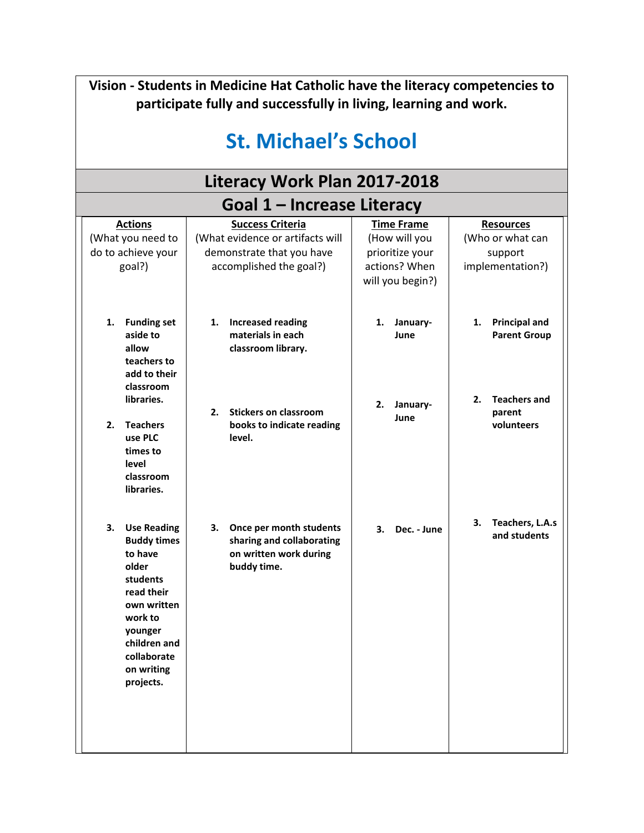| Vision - Students in Medicine Hat Catholic have the literacy competencies to<br>participate fully and successfully in living, learning and work.                                            |                                                                                                                     |                                                                                            |                                                                                |  |  |  |
|---------------------------------------------------------------------------------------------------------------------------------------------------------------------------------------------|---------------------------------------------------------------------------------------------------------------------|--------------------------------------------------------------------------------------------|--------------------------------------------------------------------------------|--|--|--|
| <b>St. Michael's School</b>                                                                                                                                                                 |                                                                                                                     |                                                                                            |                                                                                |  |  |  |
|                                                                                                                                                                                             | Literacy Work Plan 2017-2018                                                                                        |                                                                                            |                                                                                |  |  |  |
| Goal 1 – Increase Literacy                                                                                                                                                                  |                                                                                                                     |                                                                                            |                                                                                |  |  |  |
| <b>Actions</b><br>(What you need to<br>do to achieve your<br>goal?)                                                                                                                         | <b>Success Criteria</b><br>(What evidence or artifacts will<br>demonstrate that you have<br>accomplished the goal?) | <b>Time Frame</b><br>(How will you<br>prioritize your<br>actions? When<br>will you begin?) | <b>Resources</b><br>(Who or what can<br>support<br>implementation?)            |  |  |  |
| <b>Funding set</b><br>1.<br>aside to<br>allow<br>teachers to<br>add to their<br>classroom<br>libraries.                                                                                     | <b>Increased reading</b><br>1.<br>materials in each<br>classroom library.                                           | January-<br>1.<br>June<br>January-<br>2.                                                   | <b>Principal and</b><br>1.<br><b>Parent Group</b><br><b>Teachers and</b><br>2. |  |  |  |
| <b>Teachers</b><br>2.<br>use PLC<br>times to<br>level<br>classroom<br>libraries.                                                                                                            | <b>Stickers on classroom</b><br>2.<br>books to indicate reading<br>level.                                           | June                                                                                       | parent<br>volunteers                                                           |  |  |  |
| 3.<br><b>Use Reading</b><br><b>Buddy times</b><br>to have<br>older<br>students<br>read their<br>own written<br>work to<br>younger<br>children and<br>collaborate<br>on writing<br>projects. | Once per month students<br>з.<br>sharing and collaborating<br>on written work during<br>buddy time.                 | 3.<br>Dec. - June                                                                          | Teachers, L.A.s<br>З.<br>and students                                          |  |  |  |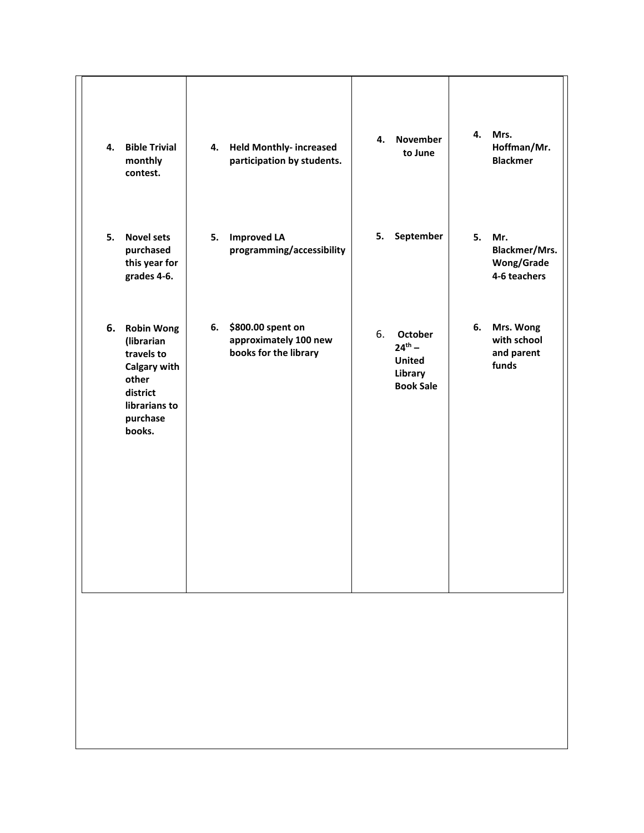| 4. | <b>Bible Trivial</b><br>monthly<br>contest.                                                                           | 4. | <b>Held Monthly- increased</b><br>participation by students.        | 4. | <b>November</b><br>to June                                             | 4. | Mrs.<br>Hoffman/Mr.<br><b>Blackmer</b>                    |
|----|-----------------------------------------------------------------------------------------------------------------------|----|---------------------------------------------------------------------|----|------------------------------------------------------------------------|----|-----------------------------------------------------------|
| 5. | <b>Novel sets</b><br>purchased<br>this year for<br>grades 4-6.                                                        | 5. | <b>Improved LA</b><br>programming/accessibility                     | 5. | September                                                              | 5. | Mr.<br>Blackmer/Mrs.<br><b>Wong/Grade</b><br>4-6 teachers |
|    | 6. Robin Wong<br>(librarian<br>travels to<br>Calgary with<br>other<br>district<br>librarians to<br>purchase<br>books. | 6. | \$800.00 spent on<br>approximately 100 new<br>books for the library | 6. | October<br>$24^{th} -$<br><b>United</b><br>Library<br><b>Book Sale</b> | 6. | Mrs. Wong<br>with school<br>and parent<br>funds           |
|    |                                                                                                                       |    |                                                                     |    |                                                                        |    |                                                           |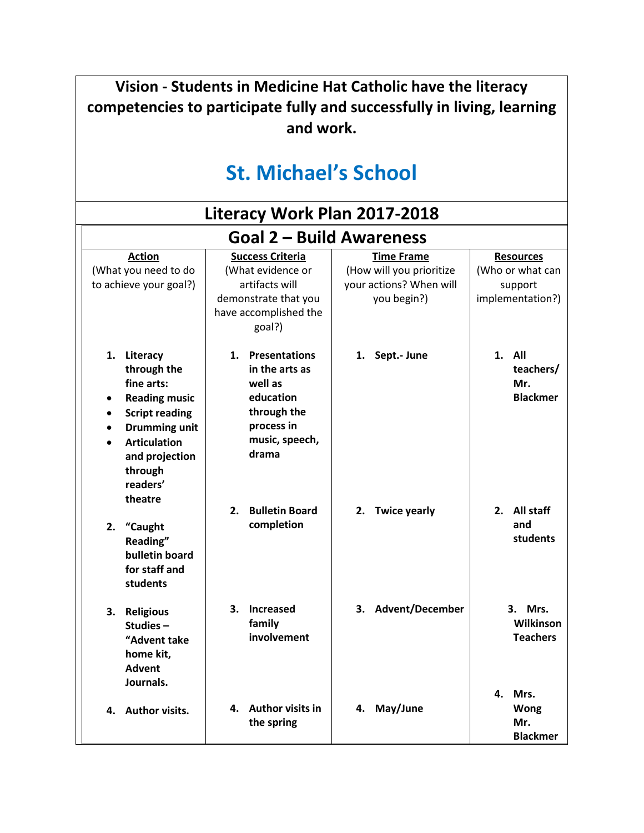| Vision - Students in Medicine Hat Catholic have the literacy<br>competencies to participate fully and successfully in living, learning<br>and work.<br><b>St. Michael's School</b>                |                                                                                                                           |                                                                                         |                                                                     |
|---------------------------------------------------------------------------------------------------------------------------------------------------------------------------------------------------|---------------------------------------------------------------------------------------------------------------------------|-----------------------------------------------------------------------------------------|---------------------------------------------------------------------|
|                                                                                                                                                                                                   | Literacy Work Plan 2017-2018                                                                                              |                                                                                         |                                                                     |
|                                                                                                                                                                                                   | <b>Goal 2 – Build Awareness</b>                                                                                           |                                                                                         |                                                                     |
| <b>Action</b><br>(What you need to do<br>to achieve your goal?)                                                                                                                                   | <b>Success Criteria</b><br>(What evidence or<br>artifacts will<br>demonstrate that you<br>have accomplished the<br>goal?) | <b>Time Frame</b><br>(How will you prioritize<br>your actions? When will<br>you begin?) | <b>Resources</b><br>(Who or what can<br>support<br>implementation?) |
| Literacy<br>1.<br>through the<br>fine arts:<br><b>Reading music</b><br><b>Script reading</b><br>$\bullet$<br><b>Drumming unit</b><br><b>Articulation</b><br>and projection<br>through<br>readers' | 1. Presentations<br>in the arts as<br>well as<br>education<br>through the<br>process in<br>music, speech,<br>drama        | Sept.- June<br>1.                                                                       | 1.<br>All<br>teachers/<br>Mr.<br><b>Blackmer</b>                    |
| theatre<br>2.<br>"Caught<br>Reading"<br>bulletin board<br>for staff and<br>students                                                                                                               | 2. Bulletin Board<br>completion                                                                                           | 2. Twice yearly                                                                         | 2. All staff<br>and<br>students                                     |
| 3. Religious<br>Studies-<br>"Advent take<br>home kit,<br><b>Advent</b><br>Journals.                                                                                                               | 3. Increased<br>family<br>involvement                                                                                     | 3. Advent/December                                                                      | 3. Mrs.<br>Wilkinson<br><b>Teachers</b><br>4.<br>Mrs.               |
| 4. Author visits.                                                                                                                                                                                 | 4. Author visits in<br>the spring                                                                                         | 4. May/June                                                                             | <b>Wong</b><br>Mr.<br><b>Blackmer</b>                               |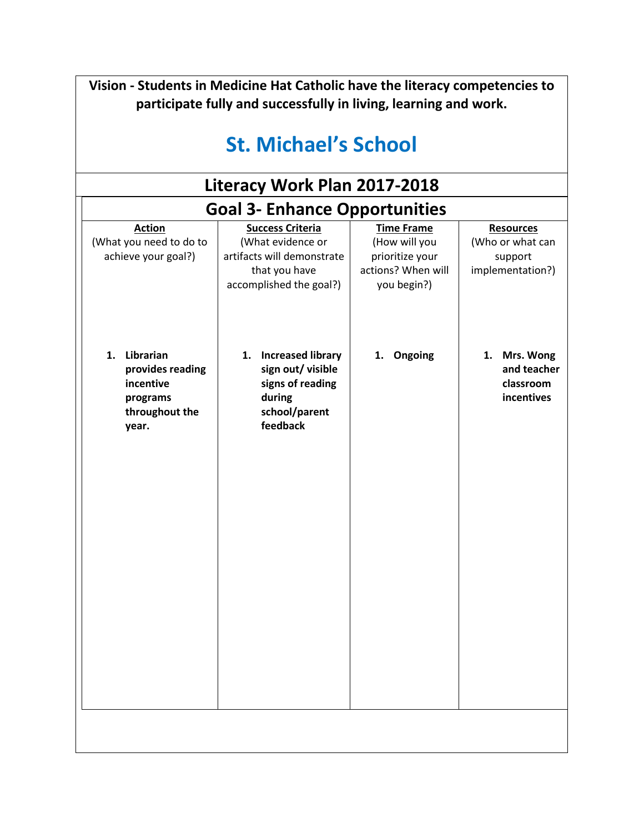| Vision - Students in Medicine Hat Catholic have the literacy competencies to<br>participate fully and successfully in living, learning and work. |                                                                                                                        |                                                                                            |                                                                     |  |  |  |
|--------------------------------------------------------------------------------------------------------------------------------------------------|------------------------------------------------------------------------------------------------------------------------|--------------------------------------------------------------------------------------------|---------------------------------------------------------------------|--|--|--|
| <b>St. Michael's School</b>                                                                                                                      |                                                                                                                        |                                                                                            |                                                                     |  |  |  |
| Literacy Work Plan 2017-2018                                                                                                                     |                                                                                                                        |                                                                                            |                                                                     |  |  |  |
|                                                                                                                                                  | <b>Goal 3- Enhance Opportunities</b>                                                                                   |                                                                                            |                                                                     |  |  |  |
| <b>Action</b><br>(What you need to do to<br>achieve your goal?)                                                                                  | <b>Success Criteria</b><br>(What evidence or<br>artifacts will demonstrate<br>that you have<br>accomplished the goal?) | <b>Time Frame</b><br>(How will you<br>prioritize your<br>actions? When will<br>you begin?) | <b>Resources</b><br>(Who or what can<br>support<br>implementation?) |  |  |  |
| 1. Librarian<br>provides reading<br>incentive<br>programs<br>throughout the<br>year.                                                             | 1. Increased library<br>sign out/ visible<br>signs of reading<br>during<br>school/parent<br>feedback                   | 1.<br>Ongoing                                                                              | 1. Mrs. Wong<br>and teacher<br>classroom<br>incentives              |  |  |  |
|                                                                                                                                                  |                                                                                                                        |                                                                                            |                                                                     |  |  |  |